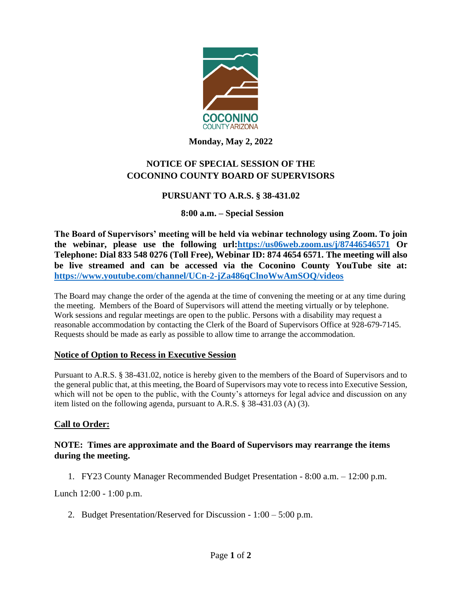

**Monday, May 2, 2022**

# **NOTICE OF SPECIAL SESSION OF THE COCONINO COUNTY BOARD OF SUPERVISORS**

## **PURSUANT TO A.R.S. § 38-431.02**

### **8:00 a.m. – Special Session**

**The Board of Supervisors' meeting will be held via webinar technology using Zoom. To join the webinar, please use the following url[:https://us06web.zoom.us/j/87446546571](https://us06web.zoom.us/j/87446546571) Or Telephone: Dial 833 548 0276 (Toll Free), Webinar ID: 874 4654 6571. The meeting will also be live streamed and can be accessed via the Coconino County YouTube site at: <https://www.youtube.com/channel/UCn-2-jZa486qClnoWwAmSOQ/videos>**

The Board may change the order of the agenda at the time of convening the meeting or at any time during the meeting. Members of the Board of Supervisors will attend the meeting virtually or by telephone. Work sessions and regular meetings are open to the public. Persons with a disability may request a reasonable accommodation by contacting the Clerk of the Board of Supervisors Office at 928-679-7145. Requests should be made as early as possible to allow time to arrange the accommodation.

### **Notice of Option to Recess in Executive Session**

Pursuant to A.R.S. § 38-431.02, notice is hereby given to the members of the Board of Supervisors and to the general public that, at this meeting, the Board of Supervisors may vote to recess into Executive Session, which will not be open to the public, with the County's attorneys for legal advice and discussion on any item listed on the following agenda, pursuant to A.R.S. § 38-431.03 (A) (3).

### **Call to Order:**

### **NOTE: Times are approximate and the Board of Supervisors may rearrange the items during the meeting.**

1. FY23 County Manager Recommended Budget Presentation - 8:00 a.m. – 12:00 p.m.

Lunch 12:00 - 1:00 p.m.

2. Budget Presentation/Reserved for Discussion - 1:00 – 5:00 p.m.